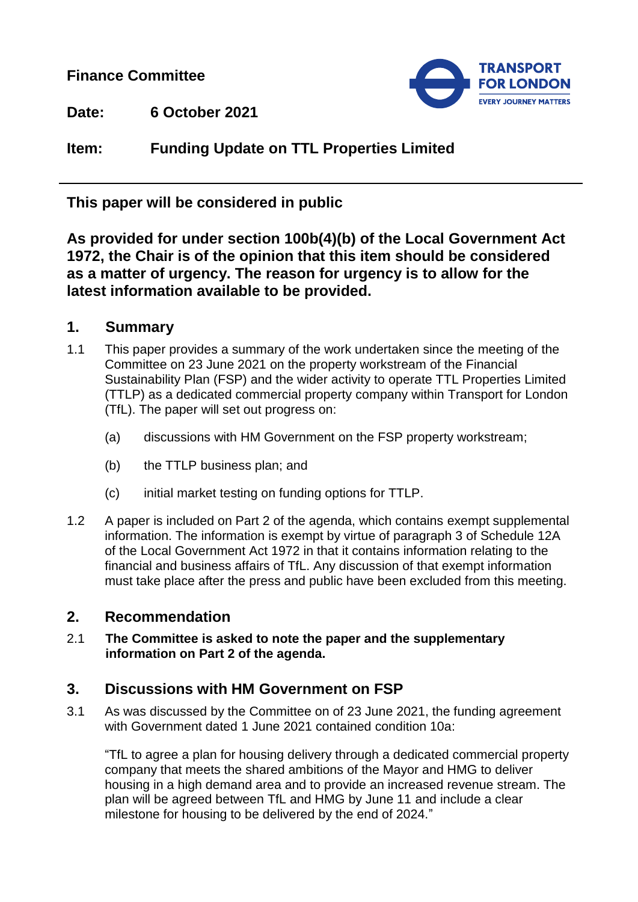**Finance Committee**



**Date: 6 October 2021**

**Item: Funding Update on TTL Properties Limited**

**This paper will be considered in public**

**As provided for under section 100b(4)(b) of the Local Government Act 1972, the Chair is of the opinion that this item should be considered as a matter of urgency. The reason for urgency is to allow for the latest information available to be provided.**

## **1. Summary**

- 1.1 This paper provides a summary of the work undertaken since the meeting of the Committee on 23 June 2021 on the property workstream of the Financial Sustainability Plan (FSP) and the wider activity to operate TTL Properties Limited (TTLP) as a dedicated commercial property company within Transport for London (TfL). The paper will set out progress on:
	- (a) discussions with HM Government on the FSP property workstream;
	- (b) the TTLP business plan; and
	- (c) initial market testing on funding options for TTLP.
- 1.2 A paper is included on Part 2 of the agenda, which contains exempt supplemental information. The information is exempt by virtue of paragraph 3 of Schedule 12A of the Local Government Act 1972 in that it contains information relating to the financial and business affairs of TfL. Any discussion of that exempt information must take place after the press and public have been excluded from this meeting.

#### **2. Recommendation**

2.1 **The Committee is asked to note the paper and the supplementary information on Part 2 of the agenda.**

## **3. Discussions with HM Government on FSP**

3.1 As was discussed by the Committee on of 23 June 2021, the funding agreement with Government dated 1 June 2021 contained condition 10a:

"TfL to agree a plan for housing delivery through a dedicated commercial property company that meets the shared ambitions of the Mayor and HMG to deliver housing in a high demand area and to provide an increased revenue stream. The plan will be agreed between TfL and HMG by June 11 and include a clear milestone for housing to be delivered by the end of 2024."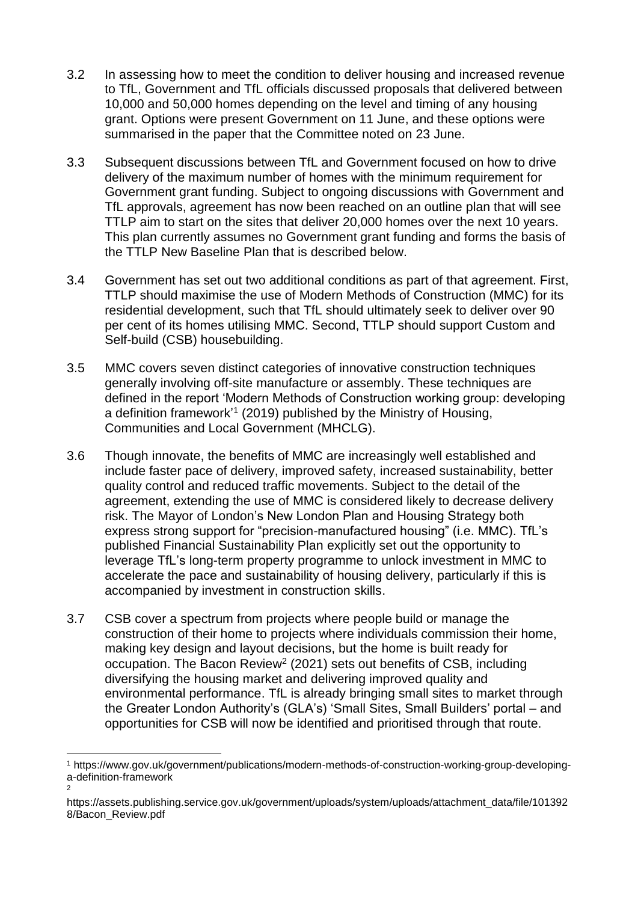- 3.2 In assessing how to meet the condition to deliver housing and increased revenue to TfL, Government and TfL officials discussed proposals that delivered between 10,000 and 50,000 homes depending on the level and timing of any housing grant. Options were present Government on 11 June, and these options were summarised in the paper that the Committee noted on 23 June.
- 3.3 Subsequent discussions between TfL and Government focused on how to drive delivery of the maximum number of homes with the minimum requirement for Government grant funding. Subject to ongoing discussions with Government and TfL approvals, agreement has now been reached on an outline plan that will see TTLP aim to start on the sites that deliver 20,000 homes over the next 10 years. This plan currently assumes no Government grant funding and forms the basis of the TTLP New Baseline Plan that is described below.
- 3.4 Government has set out two additional conditions as part of that agreement. First, TTLP should maximise the use of Modern Methods of Construction (MMC) for its residential development, such that TfL should ultimately seek to deliver over 90 per cent of its homes utilising MMC. Second, TTLP should support Custom and Self-build (CSB) housebuilding.
- 3.5 MMC covers seven distinct categories of innovative construction techniques generally involving off-site manufacture or assembly. These techniques are defined in the report 'Modern Methods of Construction working group: developing a definition framework' 1 (2019) published by the Ministry of Housing, Communities and Local Government (MHCLG).
- 3.6 Though innovate, the benefits of MMC are increasingly well established and include faster pace of delivery, improved safety, increased sustainability, better quality control and reduced traffic movements. Subject to the detail of the agreement, extending the use of MMC is considered likely to decrease delivery risk. The Mayor of London's New London Plan and Housing Strategy both express strong support for "precision-manufactured housing" (i.e. MMC). TfL's published Financial Sustainability Plan explicitly set out the opportunity to leverage TfL's long-term property programme to unlock investment in MMC to accelerate the pace and sustainability of housing delivery, particularly if this is accompanied by investment in construction skills.
- 3.7 CSB cover a spectrum from projects where people build or manage the construction of their home to projects where individuals commission their home, making key design and layout decisions, but the home is built ready for occupation. The Bacon Review<sup>2</sup> (2021) sets out benefits of CSB, including diversifying the housing market and delivering improved quality and environmental performance. TfL is already bringing small sites to market through the Greater London Authority's (GLA's) 'Small Sites, Small Builders' portal – and opportunities for CSB will now be identified and prioritised through that route.

l

<sup>1</sup> https://www.gov.uk/government/publications/modern-methods-of-construction-working-group-developinga-definition-framework 2

https://assets.publishing.service.gov.uk/government/uploads/system/uploads/attachment\_data/file/101392 8/Bacon\_Review.pdf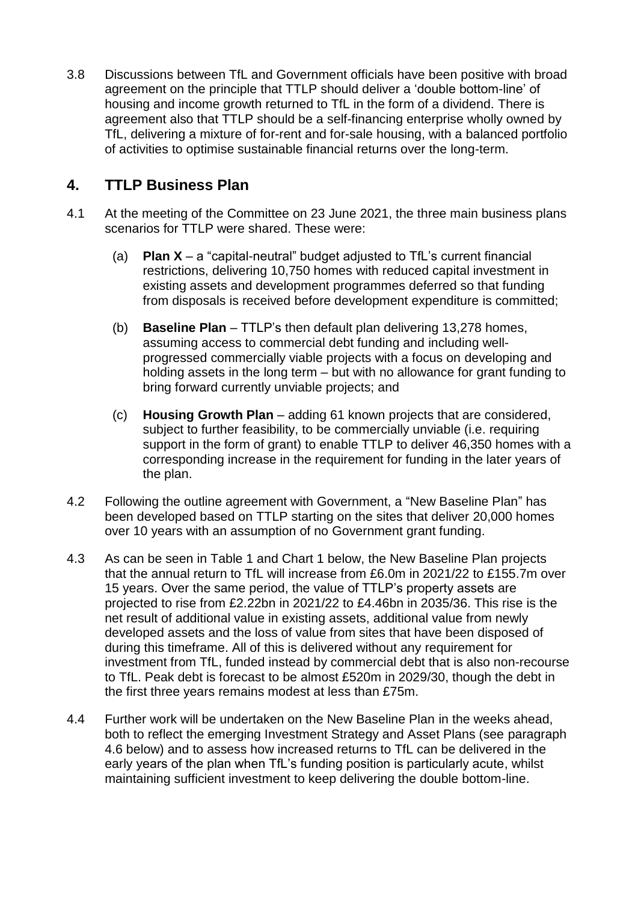3.8 Discussions between TfL and Government officials have been positive with broad agreement on the principle that TTLP should deliver a 'double bottom-line' of housing and income growth returned to TfL in the form of a dividend. There is agreement also that TTLP should be a self-financing enterprise wholly owned by TfL, delivering a mixture of for-rent and for-sale housing, with a balanced portfolio of activities to optimise sustainable financial returns over the long-term.

## **4. TTLP Business Plan**

- 4.1 At the meeting of the Committee on 23 June 2021, the three main business plans scenarios for TTLP were shared. These were:
	- (a) **Plan X** a "capital-neutral" budget adjusted to TfL's current financial restrictions, delivering 10,750 homes with reduced capital investment in existing assets and development programmes deferred so that funding from disposals is received before development expenditure is committed;
	- (b) **Baseline Plan** TTLP's then default plan delivering 13,278 homes, assuming access to commercial debt funding and including wellprogressed commercially viable projects with a focus on developing and holding assets in the long term – but with no allowance for grant funding to bring forward currently unviable projects; and
	- (c) **Housing Growth Plan** adding 61 known projects that are considered, subject to further feasibility, to be commercially unviable (i.e. requiring support in the form of grant) to enable TTLP to deliver 46,350 homes with a corresponding increase in the requirement for funding in the later years of the plan.
- 4.2 Following the outline agreement with Government, a "New Baseline Plan" has been developed based on TTLP starting on the sites that deliver 20,000 homes over 10 years with an assumption of no Government grant funding.
- 4.3 As can be seen in Table 1 and Chart 1 below, the New Baseline Plan projects that the annual return to TfL will increase from £6.0m in 2021/22 to £155.7m over 15 years. Over the same period, the value of TTLP's property assets are projected to rise from £2.22bn in 2021/22 to £4.46bn in 2035/36. This rise is the net result of additional value in existing assets, additional value from newly developed assets and the loss of value from sites that have been disposed of during this timeframe. All of this is delivered without any requirement for investment from TfL, funded instead by commercial debt that is also non-recourse to TfL. Peak debt is forecast to be almost £520m in 2029/30, though the debt in the first three years remains modest at less than £75m.
- 4.4 Further work will be undertaken on the New Baseline Plan in the weeks ahead, both to reflect the emerging Investment Strategy and Asset Plans (see paragraph 4.6 below) and to assess how increased returns to TfL can be delivered in the early years of the plan when TfL's funding position is particularly acute, whilst maintaining sufficient investment to keep delivering the double bottom-line.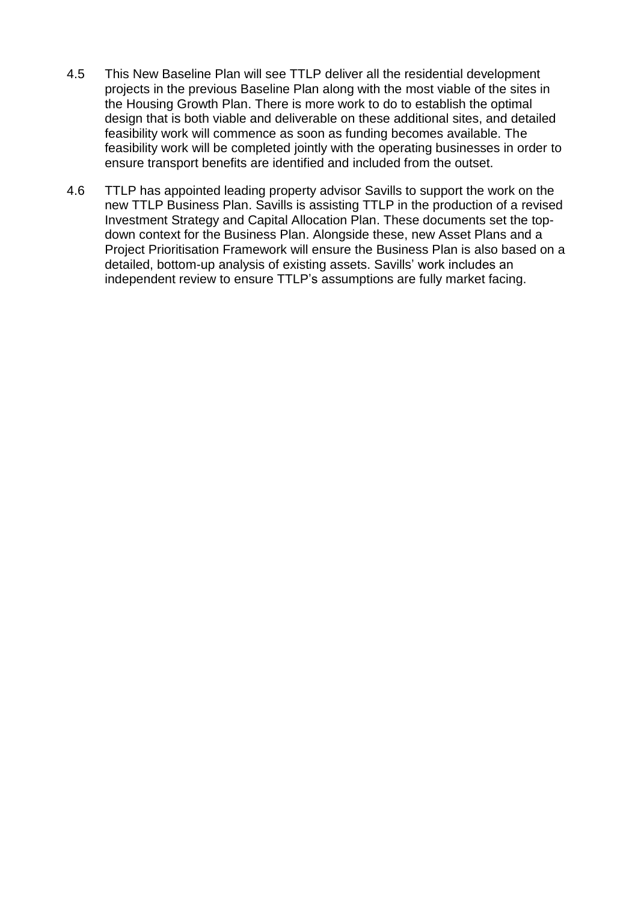- 4.5 This New Baseline Plan will see TTLP deliver all the residential development projects in the previous Baseline Plan along with the most viable of the sites in the Housing Growth Plan. There is more work to do to establish the optimal design that is both viable and deliverable on these additional sites, and detailed feasibility work will commence as soon as funding becomes available. The feasibility work will be completed jointly with the operating businesses in order to ensure transport benefits are identified and included from the outset.
- 4.6 TTLP has appointed leading property advisor Savills to support the work on the new TTLP Business Plan. Savills is assisting TTLP in the production of a revised Investment Strategy and Capital Allocation Plan. These documents set the topdown context for the Business Plan. Alongside these, new Asset Plans and a Project Prioritisation Framework will ensure the Business Plan is also based on a detailed, bottom-up analysis of existing assets. Savills' work includes an independent review to ensure TTLP's assumptions are fully market facing.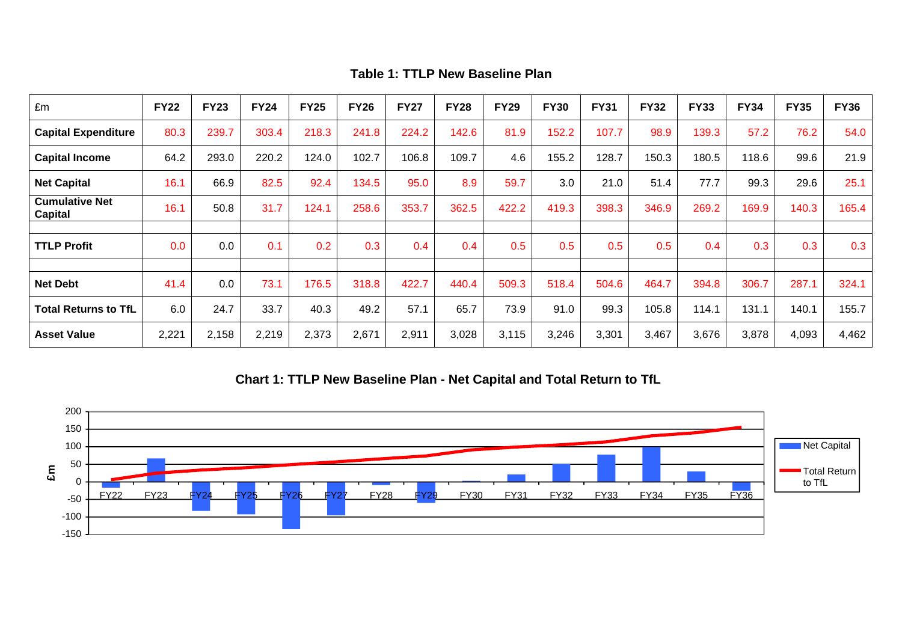|  |  |  |  | <b>Table 1: TTLP New Baseline Plan</b> |  |
|--|--|--|--|----------------------------------------|--|
|--|--|--|--|----------------------------------------|--|

| £m                               | <b>FY22</b> | <b>FY23</b> | <b>FY24</b> | <b>FY25</b> | <b>FY26</b> | <b>FY27</b> | <b>FY28</b> | <b>FY29</b> | <b>FY30</b> | <b>FY31</b> | <b>FY32</b> | <b>FY33</b> | <b>FY34</b> | <b>FY35</b> | <b>FY36</b> |
|----------------------------------|-------------|-------------|-------------|-------------|-------------|-------------|-------------|-------------|-------------|-------------|-------------|-------------|-------------|-------------|-------------|
| <b>Capital Expenditure</b>       | 80.3        | 239.7       | 303.4       | 218.3       | 241.8       | 224.2       | 142.6       | 81.9        | 152.2       | 107.7       | 98.9        | 139.3       | 57.2        | 76.2        | 54.0        |
| <b>Capital Income</b>            | 64.2        | 293.0       | 220.2       | 124.0       | 102.7       | 106.8       | 109.7       | 4.6         | 155.2       | 128.7       | 150.3       | 180.5       | 118.6       | 99.6        | 21.9        |
| <b>Net Capital</b>               | 16.1        | 66.9        | 82.5        | 92.4        | 134.5       | 95.0        | 8.9         | 59.7        | 3.0         | 21.0        | 51.4        | 77.7        | 99.3        | 29.6        | 25.1        |
| <b>Cumulative Net</b><br>Capital | 16.1        | 50.8        | 31.7        | 124.1       | 258.6       | 353.7       | 362.5       | 422.2       | 419.3       | 398.3       | 346.9       | 269.2       | 169.9       | 140.3       | 165.4       |
|                                  |             |             |             |             |             |             |             |             |             |             |             |             |             |             |             |
| <b>TTLP Profit</b>               | 0.0         | 0.0         | 0.1         | 0.2         | 0.3         | 0.4         | 0.4         | 0.5         | 0.5         | 0.5         | 0.5         | 0.4         | 0.3         | 0.3         | 0.3         |
|                                  |             |             |             |             |             |             |             |             |             |             |             |             |             |             |             |
| <b>Net Debt</b>                  | 41.4        | 0.0         | 73.1        | 176.5       | 318.8       | 422.7       | 440.4       | 509.3       | 518.4       | 504.6       | 464.7       | 394.8       | 306.7       | 287.1       | 324.1       |
| <b>Total Returns to TfL</b>      | 6.0         | 24.7        | 33.7        | 40.3        | 49.2        | 57.1        | 65.7        | 73.9        | 91.0        | 99.3        | 105.8       | 114.1       | 131.1       | 140.1       | 155.7       |
| <b>Asset Value</b>               | 2,221       | 2,158       | 2,219       | 2,373       | 2,671       | 2,911       | 3,028       | 3,115       | 3,246       | 3,301       | 3,467       | 3,676       | 3,878       | 4,093       | 4,462       |

**Chart 1: TTLP New Baseline Plan - Net Capital and Total Return to TfL**

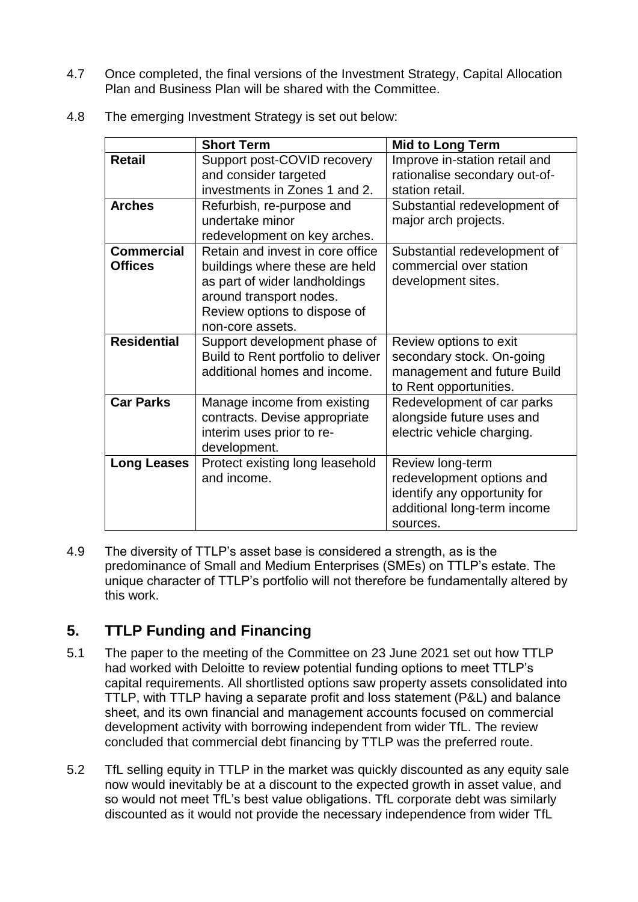- 4.7 Once completed, the final versions of the Investment Strategy, Capital Allocation Plan and Business Plan will be shared with the Committee.
- 4.8 The emerging Investment Strategy is set out below:

|                                     | <b>Short Term</b>                                                                                                                                                                  | <b>Mid to Long Term</b>                                                                                                  |
|-------------------------------------|------------------------------------------------------------------------------------------------------------------------------------------------------------------------------------|--------------------------------------------------------------------------------------------------------------------------|
| <b>Retail</b>                       | Support post-COVID recovery<br>and consider targeted                                                                                                                               | Improve in-station retail and<br>rationalise secondary out-of-                                                           |
|                                     | investments in Zones 1 and 2.                                                                                                                                                      | station retail.                                                                                                          |
| <b>Arches</b>                       | Refurbish, re-purpose and<br>undertake minor<br>redevelopment on key arches.                                                                                                       | Substantial redevelopment of<br>major arch projects.                                                                     |
| <b>Commercial</b><br><b>Offices</b> | Retain and invest in core office<br>buildings where these are held<br>as part of wider landholdings<br>around transport nodes.<br>Review options to dispose of<br>non-core assets. | Substantial redevelopment of<br>commercial over station<br>development sites.                                            |
| <b>Residential</b>                  | Support development phase of<br>Build to Rent portfolio to deliver<br>additional homes and income.                                                                                 | Review options to exit<br>secondary stock. On-going<br>management and future Build<br>to Rent opportunities.             |
| <b>Car Parks</b>                    | Manage income from existing<br>contracts. Devise appropriate<br>interim uses prior to re-<br>development.                                                                          | Redevelopment of car parks<br>alongside future uses and<br>electric vehicle charging.                                    |
| <b>Long Leases</b>                  | Protect existing long leasehold<br>and income.                                                                                                                                     | Review long-term<br>redevelopment options and<br>identify any opportunity for<br>additional long-term income<br>sources. |

4.9 The diversity of TTLP's asset base is considered a strength, as is the predominance of Small and Medium Enterprises (SMEs) on TTLP's estate. The unique character of TTLP's portfolio will not therefore be fundamentally altered by this work.

# **5. TTLP Funding and Financing**

- 5.1 The paper to the meeting of the Committee on 23 June 2021 set out how TTLP had worked with Deloitte to review potential funding options to meet TTLP's capital requirements. All shortlisted options saw property assets consolidated into TTLP, with TTLP having a separate profit and loss statement (P&L) and balance sheet, and its own financial and management accounts focused on commercial development activity with borrowing independent from wider TfL. The review concluded that commercial debt financing by TTLP was the preferred route.
- 5.2 TfL selling equity in TTLP in the market was quickly discounted as any equity sale now would inevitably be at a discount to the expected growth in asset value, and so would not meet TfL's best value obligations. TfL corporate debt was similarly discounted as it would not provide the necessary independence from wider TfL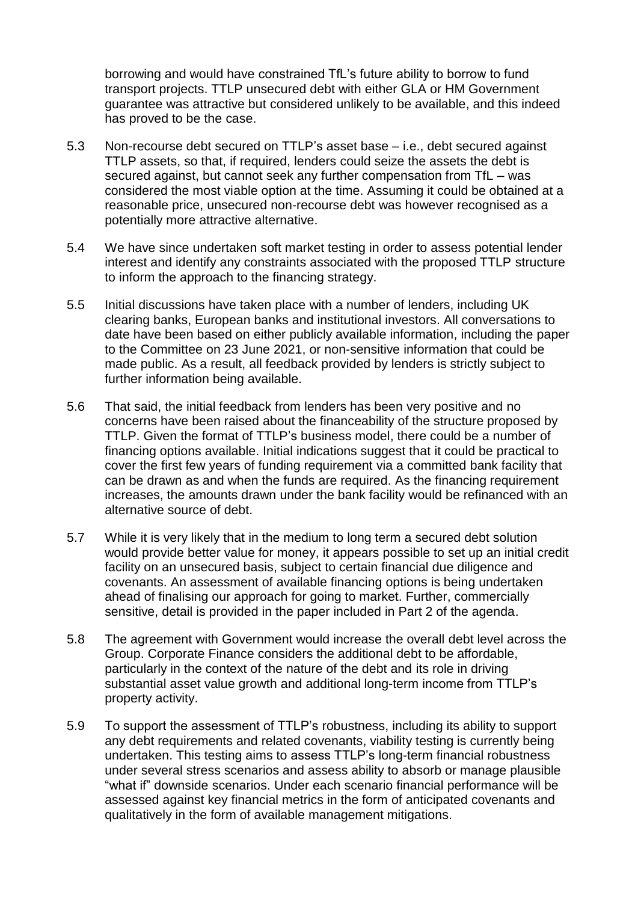borrowing and would have constrained TfL's future ability to borrow to fund transport projects. TTLP unsecured debt with either GLA or HM Government guarantee was attractive but considered unlikely to be available, and this indeed has proved to be the case.

- 5.3 Non-recourse debt secured on TTLP's asset base i.e., debt secured against TTLP assets, so that, if required, lenders could seize the assets the debt is secured against, but cannot seek any further compensation from TfL – was considered the most viable option at the time. Assuming it could be obtained at a reasonable price, unsecured non-recourse debt was however recognised as a potentially more attractive alternative.
- 5.4 We have since undertaken soft market testing in order to assess potential lender interest and identify any constraints associated with the proposed TTLP structure to inform the approach to the financing strategy.
- 5.5 Initial discussions have taken place with a number of lenders, including UK clearing banks, European banks and institutional investors. All conversations to date have been based on either publicly available information, including the paper to the Committee on 23 June 2021, or non-sensitive information that could be made public. As a result, all feedback provided by lenders is strictly subject to further information being available.
- 5.6 That said, the initial feedback from lenders has been very positive and no concerns have been raised about the financeability of the structure proposed by TTLP. Given the format of TTLP's business model, there could be a number of financing options available. Initial indications suggest that it could be practical to cover the first few years of funding requirement via a committed bank facility that can be drawn as and when the funds are required. As the financing requirement increases, the amounts drawn under the bank facility would be refinanced with an alternative source of debt.
- 5.7 While it is very likely that in the medium to long term a secured debt solution would provide better value for money, it appears possible to set up an initial credit facility on an unsecured basis, subject to certain financial due diligence and covenants. An assessment of available financing options is being undertaken ahead of finalising our approach for going to market. Further, commercially sensitive, detail is provided in the paper included in Part 2 of the agenda.
- 5.8 The agreement with Government would increase the overall debt level across the Group. Corporate Finance considers the additional debt to be affordable, particularly in the context of the nature of the debt and its role in driving substantial asset value growth and additional long-term income from TTLP's property activity.
- 5.9 To support the assessment of TTLP's robustness, including its ability to support any debt requirements and related covenants, viability testing is currently being undertaken. This testing aims to assess TTLP's long-term financial robustness under several stress scenarios and assess ability to absorb or manage plausible "what if" downside scenarios. Under each scenario financial performance will be assessed against key financial metrics in the form of anticipated covenants and qualitatively in the form of available management mitigations.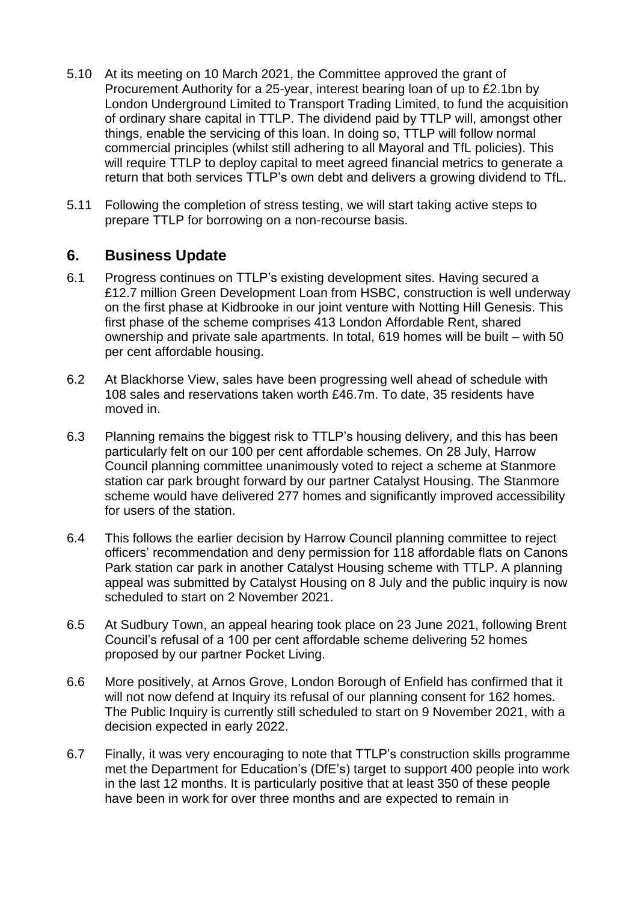- 5.10 At its meeting on 10 March 2021, the Committee approved the grant of Procurement Authority for a 25-year, interest bearing loan of up to £2.1bn by London Underground Limited to Transport Trading Limited, to fund the acquisition of ordinary share capital in TTLP. The dividend paid by TTLP will, amongst other things, enable the servicing of this loan. In doing so, TTLP will follow normal commercial principles (whilst still adhering to all Mayoral and TfL policies). This will require TTLP to deploy capital to meet agreed financial metrics to generate a return that both services TTLP's own debt and delivers a growing dividend to TfL.
- 5.11 Following the completion of stress testing, we will start taking active steps to prepare TTLP for borrowing on a non-recourse basis.

### **6. Business Update**

- 6.1 Progress continues on TTLP's existing development sites. Having secured a £12.7 million Green Development Loan from HSBC, construction is well underway on the first phase at Kidbrooke in our joint venture with Notting Hill Genesis. This first phase of the scheme comprises 413 London Affordable Rent, shared ownership and private sale apartments. In total, 619 homes will be built – with 50 per cent affordable housing.
- 6.2 At Blackhorse View, sales have been progressing well ahead of schedule with 108 sales and reservations taken worth £46.7m. To date, 35 residents have moved in.
- 6.3 Planning remains the biggest risk to TTLP's housing delivery, and this has been particularly felt on our 100 per cent affordable schemes. On 28 July, Harrow Council planning committee unanimously voted to reject a scheme at Stanmore station car park brought forward by our partner Catalyst Housing. The Stanmore scheme would have delivered 277 homes and significantly improved accessibility for users of the station.
- 6.4 This follows the earlier decision by Harrow Council planning committee to reject officers' recommendation and deny permission for 118 affordable flats on Canons Park station car park in another Catalyst Housing scheme with TTLP. A planning appeal was submitted by Catalyst Housing on 8 July and the public inquiry is now scheduled to start on 2 November 2021.
- 6.5 At Sudbury Town, an appeal hearing took place on 23 June 2021, following Brent Council's refusal of a 100 per cent affordable scheme delivering 52 homes proposed by our partner Pocket Living.
- 6.6 More positively, at Arnos Grove, London Borough of Enfield has confirmed that it will not now defend at Inquiry its refusal of our planning consent for 162 homes. The Public Inquiry is currently still scheduled to start on 9 November 2021, with a decision expected in early 2022.
- 6.7 Finally, it was very encouraging to note that TTLP's construction skills programme met the Department for Education's (DfE's) target to support 400 people into work in the last 12 months. It is particularly positive that at least 350 of these people have been in work for over three months and are expected to remain in